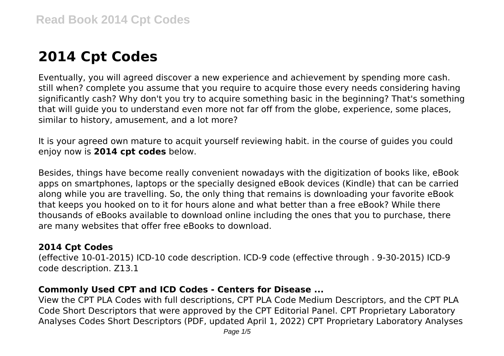# **2014 Cpt Codes**

Eventually, you will agreed discover a new experience and achievement by spending more cash. still when? complete you assume that you require to acquire those every needs considering having significantly cash? Why don't you try to acquire something basic in the beginning? That's something that will guide you to understand even more not far off from the globe, experience, some places, similar to history, amusement, and a lot more?

It is your agreed own mature to acquit yourself reviewing habit. in the course of guides you could enjoy now is **2014 cpt codes** below.

Besides, things have become really convenient nowadays with the digitization of books like, eBook apps on smartphones, laptops or the specially designed eBook devices (Kindle) that can be carried along while you are travelling. So, the only thing that remains is downloading your favorite eBook that keeps you hooked on to it for hours alone and what better than a free eBook? While there thousands of eBooks available to download online including the ones that you to purchase, there are many websites that offer free eBooks to download.

#### **2014 Cpt Codes**

(effective 10-01-2015) ICD-10 code description. ICD-9 code (effective through . 9-30-2015) ICD-9 code description. Z13.1

## **Commonly Used CPT and ICD Codes - Centers for Disease ...**

View the CPT PLA Codes with full descriptions, CPT PLA Code Medium Descriptors, and the CPT PLA Code Short Descriptors that were approved by the CPT Editorial Panel. CPT Proprietary Laboratory Analyses Codes Short Descriptors (PDF, updated April 1, 2022) CPT Proprietary Laboratory Analyses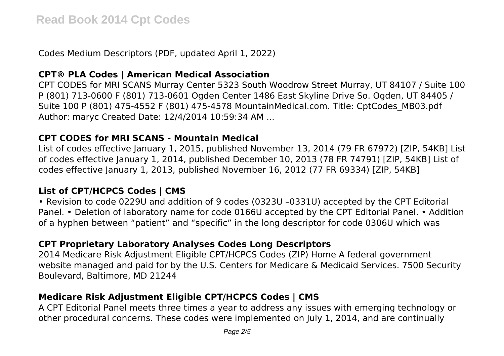Codes Medium Descriptors (PDF, updated April 1, 2022)

#### **CPT® PLA Codes | American Medical Association**

CPT CODES for MRI SCANS Murray Center 5323 South Woodrow Street Murray, UT 84107 / Suite 100 P (801) 713-0600 F (801) 713-0601 Ogden Center 1486 East Skyline Drive So. Ogden, UT 84405 / Suite 100 P (801) 475-4552 F (801) 475-4578 MountainMedical.com. Title: CptCodes\_MB03.pdf Author: maryc Created Date: 12/4/2014 10:59:34 AM ...

#### **CPT CODES for MRI SCANS - Mountain Medical**

List of codes effective January 1, 2015, published November 13, 2014 (79 FR 67972) [ZIP, 54KB] List of codes effective January 1, 2014, published December 10, 2013 (78 FR 74791) [ZIP, 54KB] List of codes effective January 1, 2013, published November 16, 2012 (77 FR 69334) [ZIP, 54KB]

## **List of CPT/HCPCS Codes | CMS**

• Revision to code 0229U and addition of 9 codes (0323U –0331U) accepted by the CPT Editorial Panel. • Deletion of laboratory name for code 0166U accepted by the CPT Editorial Panel. • Addition of a hyphen between "patient" and "specific" in the long descriptor for code 0306U which was

# **CPT Proprietary Laboratory Analyses Codes Long Descriptors**

2014 Medicare Risk Adjustment Eligible CPT/HCPCS Codes (ZIP) Home A federal government website managed and paid for by the U.S. Centers for Medicare & Medicaid Services. 7500 Security Boulevard, Baltimore, MD 21244

# **Medicare Risk Adjustment Eligible CPT/HCPCS Codes | CMS**

A CPT Editorial Panel meets three times a year to address any issues with emerging technology or other procedural concerns. These codes were implemented on July 1, 2014, and are continually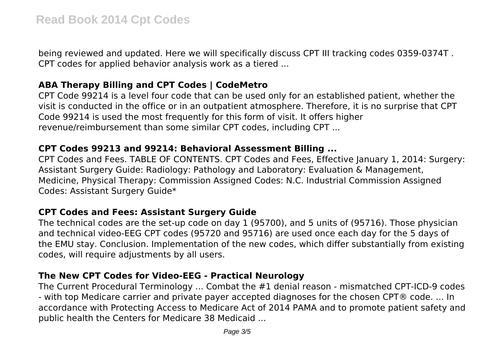being reviewed and updated. Here we will specifically discuss CPT III tracking codes 0359-0374T . CPT codes for applied behavior analysis work as a tiered ...

#### **ABA Therapy Billing and CPT Codes | CodeMetro**

CPT Code 99214 is a level four code that can be used only for an established patient, whether the visit is conducted in the office or in an outpatient atmosphere. Therefore, it is no surprise that CPT Code 99214 is used the most frequently for this form of visit. It offers higher revenue/reimbursement than some similar CPT codes, including CPT ...

#### **CPT Codes 99213 and 99214: Behavioral Assessment Billing ...**

CPT Codes and Fees. TABLE OF CONTENTS. CPT Codes and Fees. Effective January 1, 2014: Surgery: Assistant Surgery Guide: Radiology: Pathology and Laboratory: Evaluation & Management, Medicine, Physical Therapy: Commission Assigned Codes: N.C. Industrial Commission Assigned Codes: Assistant Surgery Guide\*

## **CPT Codes and Fees: Assistant Surgery Guide**

The technical codes are the set-up code on day 1 (95700), and 5 units of (95716). Those physician and technical video-EEG CPT codes (95720 and 95716) are used once each day for the 5 days of the EMU stay. Conclusion. Implementation of the new codes, which differ substantially from existing codes, will require adjustments by all users.

# **The New CPT Codes for Video-EEG - Practical Neurology**

The Current Procedural Terminology ... Combat the #1 denial reason - mismatched CPT-ICD-9 codes - with top Medicare carrier and private payer accepted diagnoses for the chosen CPT® code. ... In accordance with Protecting Access to Medicare Act of 2014 PAMA and to promote patient safety and public health the Centers for Medicare 38 Medicaid ...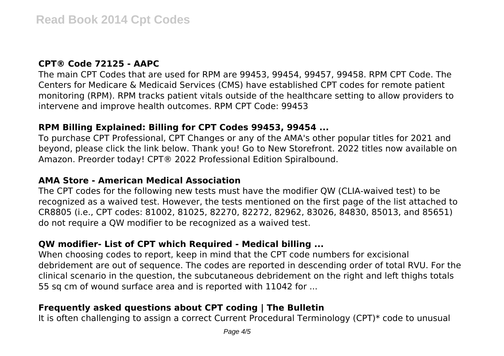#### **CPT® Code 72125 - AAPC**

The main CPT Codes that are used for RPM are 99453, 99454, 99457, 99458. RPM CPT Code. The Centers for Medicare & Medicaid Services (CMS) have established CPT codes for remote patient monitoring (RPM). RPM tracks patient vitals outside of the healthcare setting to allow providers to intervene and improve health outcomes. RPM CPT Code: 99453

#### **RPM Billing Explained: Billing for CPT Codes 99453, 99454 ...**

To purchase CPT Professional, CPT Changes or any of the AMA's other popular titles for 2021 and beyond, please click the link below. Thank you! Go to New Storefront. 2022 titles now available on Amazon. Preorder today! CPT® 2022 Professional Edition Spiralbound.

#### **AMA Store - American Medical Association**

The CPT codes for the following new tests must have the modifier QW (CLIA-waived test) to be recognized as a waived test. However, the tests mentioned on the first page of the list attached to CR8805 (i.e., CPT codes: 81002, 81025, 82270, 82272, 82962, 83026, 84830, 85013, and 85651) do not require a QW modifier to be recognized as a waived test.

#### **QW modifier- List of CPT which Required - Medical billing ...**

When choosing codes to report, keep in mind that the CPT code numbers for excisional debridement are out of sequence. The codes are reported in descending order of total RVU. For the clinical scenario in the question, the subcutaneous debridement on the right and left thighs totals 55 sq cm of wound surface area and is reported with 11042 for ...

## **Frequently asked questions about CPT coding | The Bulletin**

It is often challenging to assign a correct Current Procedural Terminology (CPT)\* code to unusual